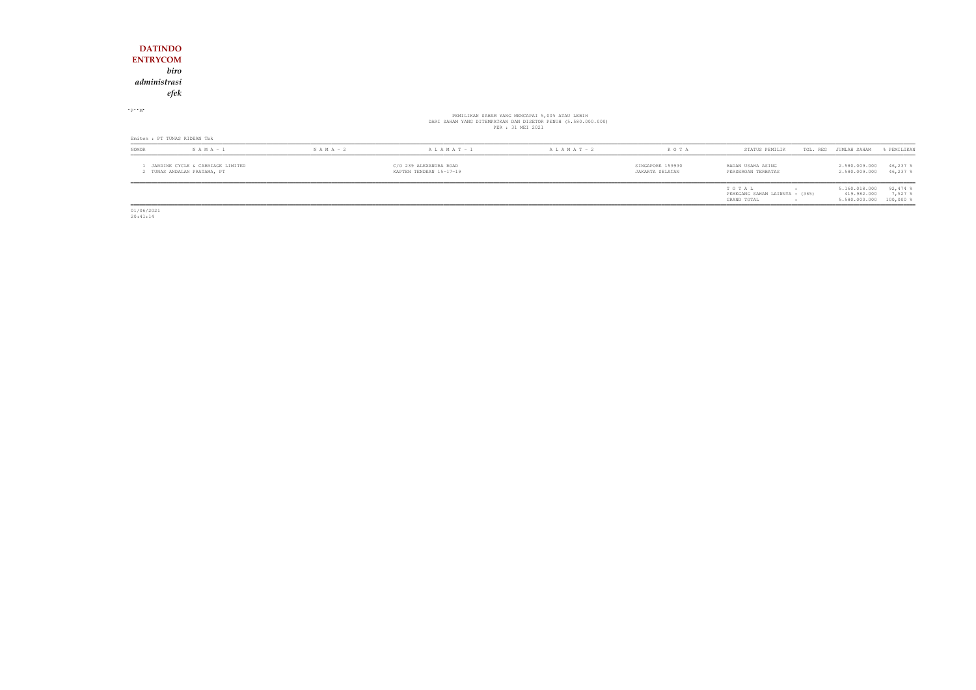| NOMOR                           | $N A M A - 1$ | $N A M A - 2$ | A L A M A T - 1 | $A L A M A T - 2$                                                                                                                    | KOTA | STATUS PEMILIK | TGL. REG JUMLAH SAHAM | % PEMILIKAN |
|---------------------------------|---------------|---------------|-----------------|--------------------------------------------------------------------------------------------------------------------------------------|------|----------------|-----------------------|-------------|
| Emiten : PT TUNAS RIDEAN Tbk    |               |               |                 |                                                                                                                                      |      |                |                       |             |
| $P - M$                         |               |               |                 | PEMILIKAN SAHAM YANG MENCAPAI 5,00% ATAU LEBIH<br>DARI SAHAM YANG DITEMPATKAN DAN DISETOR PENUH (5.580.000.000)<br>PER : 31 MEI 2021 |      |                |                       |             |
| <b>ENTRYCOM</b><br>administrasi | biro<br>efek  |               |                 |                                                                                                                                      |      |                |                       |             |
| <b>DATINDO</b>                  |               |               |                 |                                                                                                                                      |      |                |                       |             |

| NOMOR | $N A M A - 1$                                                 | $N A M A - 2$ | $A L A M A T - 1$                                 | $A L A M A T - 2$ | K O T A                             | STATUS PEMILIK                                         | TGL. REG JUMLAH SAHAM                                     | FEMILIKAN                 |
|-------|---------------------------------------------------------------|---------------|---------------------------------------------------|-------------------|-------------------------------------|--------------------------------------------------------|-----------------------------------------------------------|---------------------------|
|       | JARDINE CYCLE & CARRIAGE LIMITED<br>TUNAS ANDALAN PRATAMA, PT |               | C/O 239 ALEXANDRA ROAD<br>KAPTEN TENDEAN 15-17-19 |                   | SINGAPORE 159930<br>JAKARTA SELATAN | BADAN USAHA ASING<br>PERSEROAN TERBATAS                | 2.580.009.000<br>2.580.009.000                            | $46,237$ \$<br>$46,237$ % |
|       |                                                               |               |                                                   |                   |                                     | TOTAL<br>PEMEGANG SAHAM LAINNYA : (365)<br>GRAND TOTAL | 5.160.018.000<br>419.982.000<br>$5.580.000.000$ 100,000 % | $92,474$ %<br>7.527       |

01/06/2021 20:41:14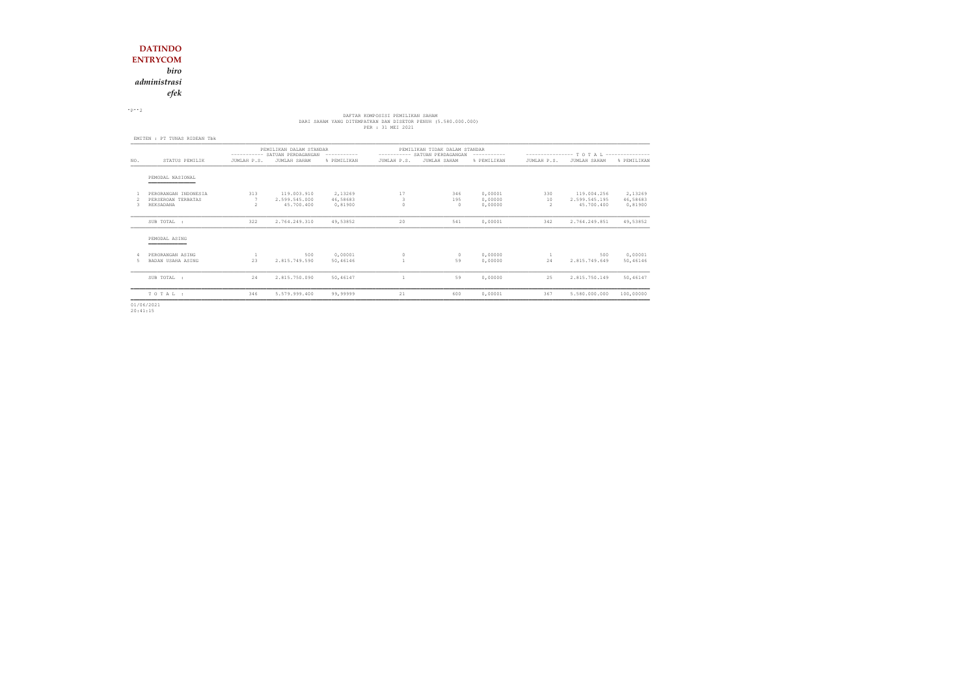*administrasi*

*efek*

 $\cdot$  P $\cdot$  2

# DAFTAR KOMPOSISI PEMILIKAN SAHAM<br>DARI SAHAM YANG DITEMPATKAN DAN DISETOR PENUH (5.580.000.000)<br>PER : 31 MEI 2021

|     |                                                         | PEMILIKAN DALAM STANDAR<br>---------- SATUAN PERDAGANGAN<br>------------ |                                            |                                | PEMILIKAN TIDAK DALAM STANDAR<br>---------- SATUAN PERDAGANGAN<br>------------ |                      |                               | ---------------- T O T A L --------------- |                                            |                                |
|-----|---------------------------------------------------------|--------------------------------------------------------------------------|--------------------------------------------|--------------------------------|--------------------------------------------------------------------------------|----------------------|-------------------------------|--------------------------------------------|--------------------------------------------|--------------------------------|
| NO. | STATUS PEMILIK                                          | JUMLAH P.S.                                                              | JUMLAH SAHAM                               | % PEMILIKAN                    | JUMLAH P.S.                                                                    | JUMLAH SAHAM         | % PEMILIKAN                   | JUMLAH P.S.                                | JUMLAH SAHAM                               | % PEMILIKAN                    |
|     | PEMODAL NASIONAL<br>____________                        |                                                                          |                                            |                                |                                                                                |                      |                               |                                            |                                            |                                |
|     | PERORANGAN INDONESIA<br>PERSEROAN TERBATAS<br>REKSADANA | 313<br>$\mathfrak{D}$                                                    | 119.003.910<br>2.599.545.000<br>45,700,400 | 2,13269<br>46,58683<br>0,81900 | 17<br>3                                                                        | 346<br>195<br>$\cap$ | 0,00001<br>0,00000<br>0,00000 | 330<br>10<br>2                             | 119.004.256<br>2.599.545.195<br>45.700.400 | 2,13269<br>46,58683<br>0,81900 |
|     | SUB TOTAL :                                             | 322                                                                      | 2.764.249.310                              | 49,53852                       | 20                                                                             | 541                  | 0,00001                       | 342                                        | 2.764.249.851                              | 49,53852                       |
|     | PEMODAL ASING                                           |                                                                          |                                            |                                |                                                                                |                      |                               |                                            |                                            |                                |
| 5   | PERORANGAN ASING<br>BADAN USAHA ASING                   | 23                                                                       | 500<br>2.815.749.590                       | 0,00001<br>50,46146            | $\Omega$                                                                       | $\circ$<br>59        | 0,00000<br>0,00000            | 24                                         | 500<br>2.815.749.649                       | 0,00001<br>50,46146            |
|     | SUB TOTAL :                                             | 24                                                                       | 2.815.750.090                              | 50,46147                       |                                                                                | 59                   | 0,00000                       | 25                                         | 2.815.750.149                              | 50,46147                       |
|     | TOTAL:                                                  | 346                                                                      | 5.579.999.400                              | 99,99999                       | 21                                                                             | 600                  | 0,00001                       | 367                                        | 5.580.000.000                              | 100,00000                      |

01/06/2021 20:41:15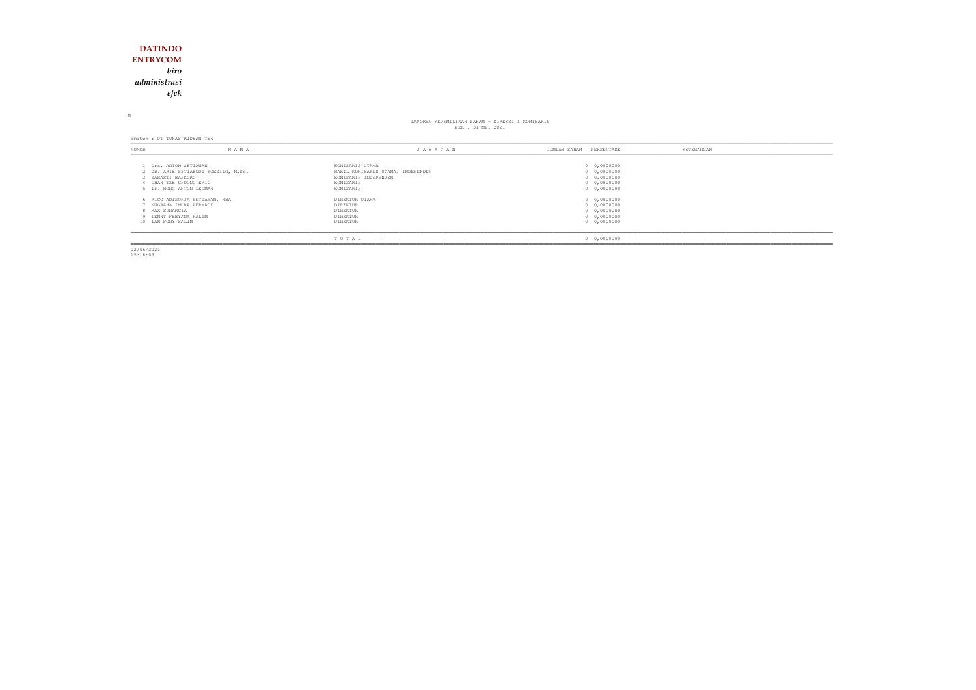## **DATINDO ENTRYCOM** *biro administrasiefek*

M

# LAPORAN KEPEMILIKAN SAHAM - DIREKSI & KOMISARIS<br>PER : 31 MEI 2021

Emiten : PT TUNAS RIDEAN Tbk

| NOMOR                               | N A M A                                                                                                       | JABATAN                                                                                                | PERSENTASE<br>JUMLAH SAHAM                                              | KETERANGAN |
|-------------------------------------|---------------------------------------------------------------------------------------------------------------|--------------------------------------------------------------------------------------------------------|-------------------------------------------------------------------------|------------|
| SARASTI BASKORO                     | Drs. ANTON SETIAWAN<br>2 DR. ARIE SETIABUDI SOESILO, M.Sc.<br>CHAN TZE CHOONG ERIC<br>5 Ir. HONG ANTON LEOMAN | KOMISARIS UTAMA<br>WAKIL KOMISARIS UTAMA/ INDEPENDEN<br>KOMISARIS INDEPENDEN<br>KOMISARIS<br>KOMISARIS | 0 0,0000000<br>0 0,0000000<br>0 0,0000000<br>0 0,0000000<br>0 0,0000000 |            |
| 8 MAX SUNARCIA<br>10 TAN FONY SALIM | 6 RICO ADISURJA SETIAWAN, MBA<br>NUGRAHA INDRA PERMADI<br>9 TENNY FEBYANA HALIM                               | DIREKTUR UTAMA<br>DIREKTUR<br>DIREKTUR<br>DIREKTUR<br>DIREKTUR                                         | 0 0,0000000<br>0 0,0000000<br>0 0,0000000<br>0 0,0000000<br>0 0,0000000 |            |
|                                     |                                                                                                               | TOTAL                                                                                                  | 0 0,0000000                                                             |            |

02/06/2021 15:18:09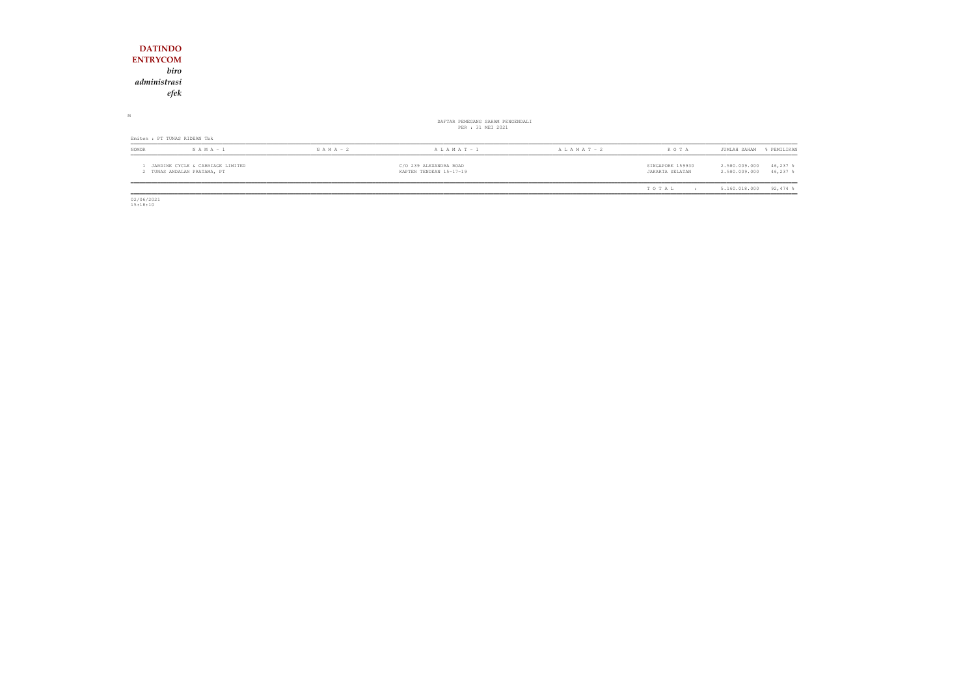| <b>DATINDO</b><br><b>ENTRYCOM</b><br>biro                       |               |                                                       |                 |                                     |                                                           |
|-----------------------------------------------------------------|---------------|-------------------------------------------------------|-----------------|-------------------------------------|-----------------------------------------------------------|
| administrasi<br>efek                                            |               |                                                       |                 |                                     |                                                           |
| М                                                               |               | DAFTAR PEMEGANG SAHAM PENGENDALI<br>PER : 31 MEI 2021 |                 |                                     |                                                           |
| Emiten : PT TUNAS RIDEAN Tbk                                    |               |                                                       |                 |                                     |                                                           |
| $N A M A - 1$<br>NOMOR                                          | $N A M A - 2$ | A L A M A T - 1                                       | A L A M A T - 2 | KOTA                                | JUMLAH SAHAM<br>% PEMILIKAN                               |
| JARDINE CYCLE & CARRIAGE LIMITED<br>2 TUNAS ANDALAN PRATAMA, PT |               | C/O 239 ALEXANDRA ROAD<br>KAPTEN TENDEAN 15-17-19     |                 | SINGAPORE 159930<br>JAKARTA SELATAN | 2.580.009.000<br>46,237 %<br>2.580.009.000<br>$46,237$ \$ |
|                                                                 |               |                                                       |                 | TOTAL<br>$\mathbf{r}$               | $92,474$ %<br>5.160.018.000                               |

 $\begin{array}{c} \hline \hline 02/06/2021 \\ 15:18:10 \end{array}$